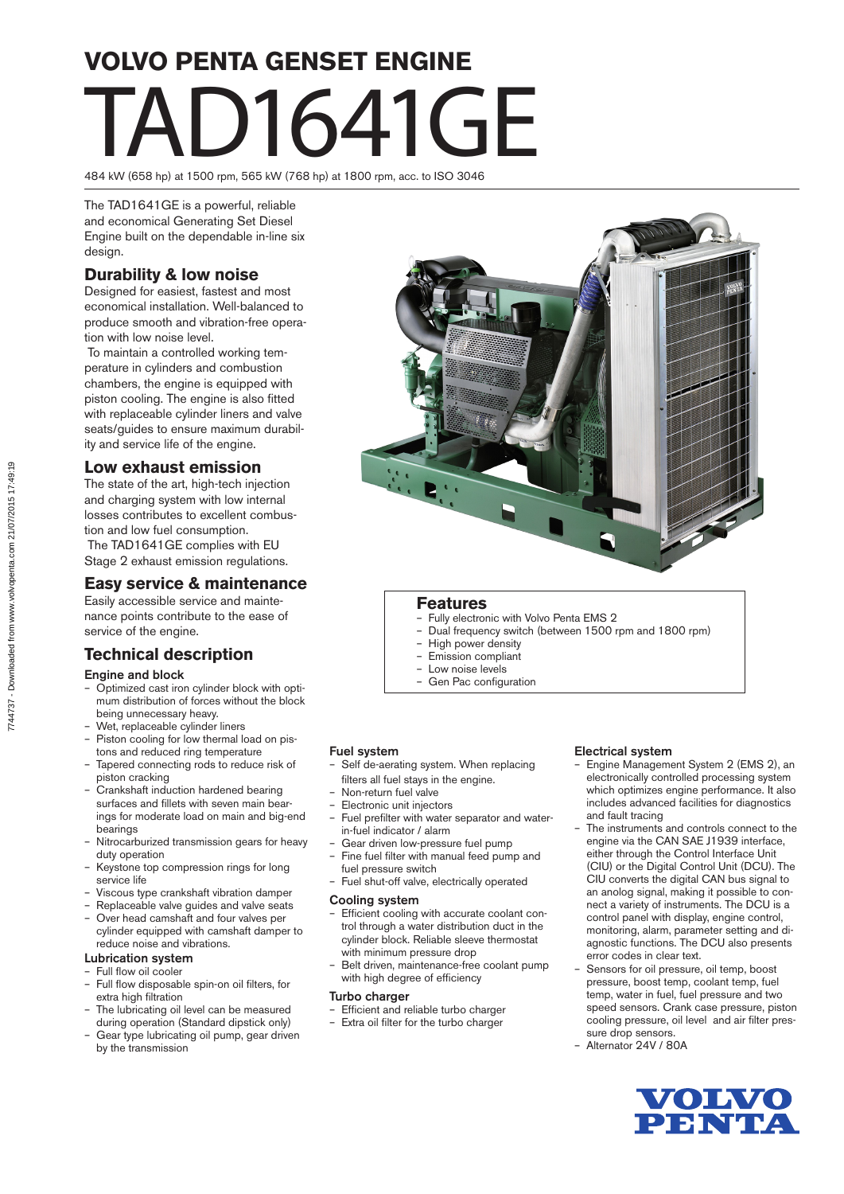# **VOLVO PENTA GENSET ENGINE** TAD1641GE

484 kW (658 hp) at 1500 rpm, 565 kW (768 hp) at 1800 rpm, acc. to ISO 3046

The TAD1641GE is a powerful, reliable and economical Generating Set Diesel Engine built on the dependable in-line six design.

# **Durability & low noise**

Designed for easiest, fastest and most economical installation. Well-balanced to produce smooth and vibration-free operation with low noise level.

 To maintain a controlled working temperature in cylinders and combustion chambers, the engine is equipped with piston cooling. The engine is also fitted with replaceable cylinder liners and valve seats/guides to ensure maximum durability and service life of the engine.

## **Low exhaust emission**

The state of the art, high-tech injection and charging system with low internal losses contributes to excellent combustion and low fuel consumption. The TAD1641GE complies with EU Stage 2 exhaust emission regulations.

# **Easy service & maintenance**

Easily accessible service and maintenance points contribute to the ease of service of the engine.

# **Technical description**

#### Engine and block

- Optimized cast iron cylinder block with optimum distribution of forces without the block being unnecessary heavy.
- Wet, replaceable cylinder liners
- Piston cooling for low thermal load on pistons and reduced ring temperature
- Tapered connecting rods to reduce risk of piston cracking
- Crankshaft induction hardened bearing surfaces and fillets with seven main bearings for moderate load on main and big-end bearings
- Nitrocarburized transmission gears for heavy duty operation
- Keystone top compression rings for long service life
- Viscous type crankshaft vibration damper
- Replaceable valve guides and valve seats
- Over head camshaft and four valves per cylinder equipped with camshaft damper to reduce noise and vibrations.

#### Lubrication system

- Full flow oil cooler
- Full flow disposable spin-on oil filters, for extra high filtration
- The lubricating oil level can be measured during operation (Standard dipstick only)
- Gear type lubricating oil pump, gear driven by the transmission



### **Features**

- Fully electronic with Volvo Penta EMS 2
- Dual frequency switch (between 1500 rpm and 1800 rpm)
- High power density
- Emission compliant
- Low noise levels
- Gen Pac configuration

#### Fuel system

- Self de-aerating system. When replacing filters all fuel stays in the engine.
- Non-return fuel valve
- Electronic unit injectors
- Fuel prefilter with water separator and waterin-fuel indicator / alarm
- Gear driven low-pressure fuel pump – Fine fuel filter with manual feed pump and
- fuel pressure switch – Fuel shut-off valve, electrically operated
- Cooling system
- 
- Efficient cooling with accurate coolant control through a water distribution duct in the cylinder block. Reliable sleeve thermostat with minimum pressure drop
- Belt driven, maintenance-free coolant pump with high degree of efficiency

#### Turbo charger

- Efficient and reliable turbo charger
- Extra oil filter for the turbo charger

#### Electrical system

- Engine Management System 2 (EMS 2), an electronically controlled processing system which optimizes engine performance. It also includes advanced facilities for diagnostics and fault tracing
- The instruments and controls connect to the engine via the CAN SAE J1939 interface, either through the Control Interface Unit (CIU) or the Digital Control Unit (DCU). The CIU converts the digital CAN bus signal to an anolog signal, making it possible to connect a variety of instruments. The DCU is a control panel with display, engine control, monitoring, alarm, parameter setting and diagnostic functions. The DCU also presents error codes in clear text.
- Sensors for oil pressure, oil temp, boost pressure, boost temp, coolant temp, fuel temp, water in fuel, fuel pressure and two speed sensors. Crank case pressure, piston cooling pressure, oil level and air filter pressure drop sensors.
- Alternator 24V / 80A